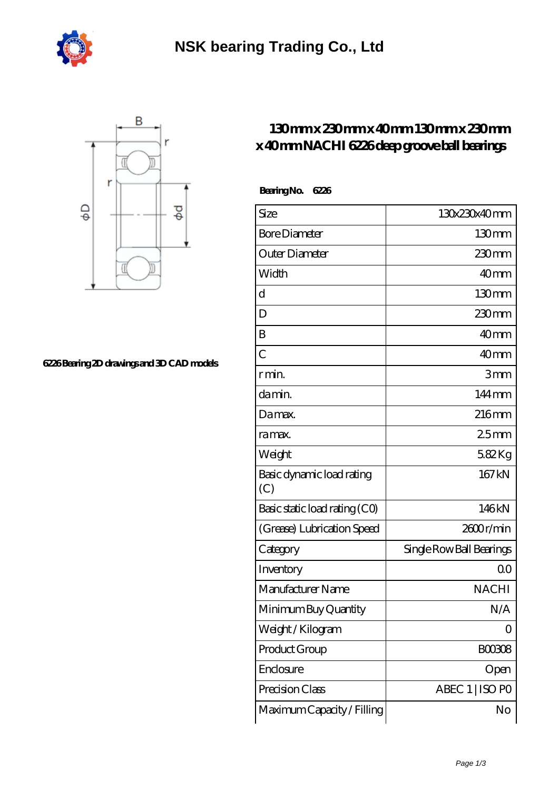



**[6226 Bearing 2D drawings and 3D CAD models](https://indra-systems.com/pic-7056.html)**

## **[130 mm x 230 mm x 40 mm 130 mm x 230 mm](https://indra-systems.com/af-7056-nachi-6226-deep-groove-ball-bearings.html) [x 40 mm NACHI 6226 deep groove ball bearings](https://indra-systems.com/af-7056-nachi-6226-deep-groove-ball-bearings.html)**

| Bearing No.<br>6226              |                          |
|----------------------------------|--------------------------|
| Size                             | 130x230x40mm             |
| <b>Bore Diameter</b>             | 130 <sub>mm</sub>        |
| Outer Diameter                   | $230$ mm                 |
| Width                            | 40 <sub>mm</sub>         |
| d                                | 130mm                    |
| D                                | $230$ mm                 |
| B                                | 40 <sub>mm</sub>         |
| $\overline{C}$                   | 40 <sub>mm</sub>         |
| r min.                           | 3mm                      |
| da min.                          | 144mm                    |
| Damax.                           | 216mm                    |
| ra max.                          | 25mm                     |
| Weight                           | 582Kg                    |
| Basic dynamic load rating<br>(C) | 167kN                    |
| Basic static load rating (CO)    | 146kN                    |
| (Grease) Lubrication Speed       | 2600r/min                |
| Category                         | Single Row Ball Bearings |
| Inventory                        | 0 <sup>0</sup>           |
| Manufacturer Name                | <b>NACHI</b>             |
| Minimum Buy Quantity             | N/A                      |
| Weight / Kilogram                | $\left( \right)$         |
| Product Group                    | BOO3O8                   |
| Enclosure                        | Open                     |
| Precision Class                  | ABEC 1   ISO PO          |
| Maximum Capacity / Filling       | No                       |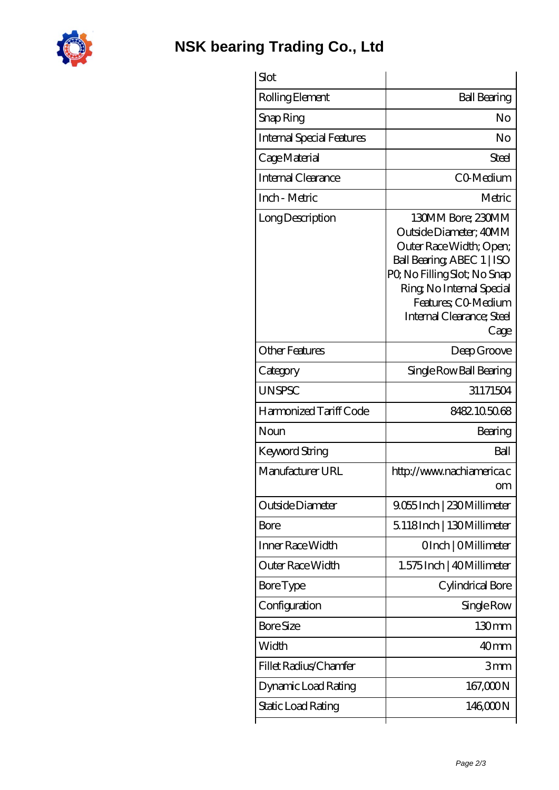

**[NSK bearing Trading Co., Ltd](https://indra-systems.com)**

| Slot                             |                                                                                                                                                                                                                              |
|----------------------------------|------------------------------------------------------------------------------------------------------------------------------------------------------------------------------------------------------------------------------|
| Rolling Element                  | <b>Ball Bearing</b>                                                                                                                                                                                                          |
| Snap Ring                        | No                                                                                                                                                                                                                           |
| <b>Internal Special Features</b> | No                                                                                                                                                                                                                           |
| Cage Material                    | Steel                                                                                                                                                                                                                        |
| Internal Clearance               | CO-Medium                                                                                                                                                                                                                    |
| Inch - Metric                    | Metric                                                                                                                                                                                                                       |
| Long Description                 | 130MM Bore; 230MM<br>Outside Diameter; 40MM<br>Outer Race Width; Open;<br>Ball Bearing, ABEC 1   ISO<br>PQ No Filling Slot; No Snap<br>Ring, No Internal Special<br>Features: CO Medium<br>Internal Clearance; Steel<br>Cage |
| <b>Other Features</b>            | Deep Groove                                                                                                                                                                                                                  |
| Category                         | Single Row Ball Bearing                                                                                                                                                                                                      |
| <b>UNSPSC</b>                    | 31171504                                                                                                                                                                                                                     |
| Harmonized Tariff Code           | 8482105068                                                                                                                                                                                                                   |
| Noun                             | Bearing                                                                                                                                                                                                                      |
| Keyword String                   | Ball                                                                                                                                                                                                                         |
| Manufacturer URL                 | http://www.nachiamerica.c<br>om                                                                                                                                                                                              |
| Outside Diameter                 | 9.055 Inch   230 Millimeter                                                                                                                                                                                                  |
| Bore                             | 5.118Inch   130Millimeter                                                                                                                                                                                                    |
| Inner Race Width                 | OInch   OMillimeter                                                                                                                                                                                                          |
| Outer Race Width                 | 1.575 Inch   40 Millimeter                                                                                                                                                                                                   |
| <b>BoreType</b>                  | Cylindrical Bore                                                                                                                                                                                                             |
| Configuration                    | Single Row                                                                                                                                                                                                                   |
| <b>Bore Size</b>                 | 130mm                                                                                                                                                                                                                        |
| Width                            | 40 <sub>mm</sub>                                                                                                                                                                                                             |
| Fillet Radius/Chamfer            | 3mm                                                                                                                                                                                                                          |
| Dynamic Load Rating              | 167,000N                                                                                                                                                                                                                     |
| Static Load Rating               | 146,000N                                                                                                                                                                                                                     |
|                                  |                                                                                                                                                                                                                              |